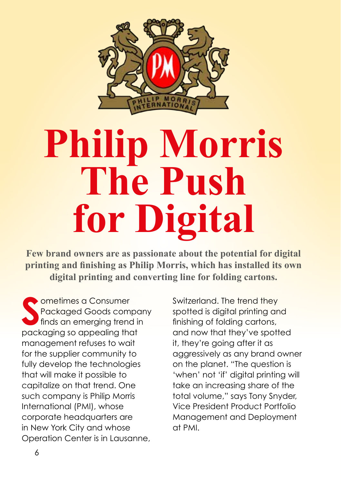

## **Philip Morris The Push for Digital**

**Few brand owners are as passionate about the potential for digital printing and finishing as Philip Morris, which has installed its own digital printing and converting line for folding cartons.**

**S**<br> **S**<br>
Packaged Goods comporting frend in<br>
packaging so appealing that ometimes a Consumer Packaged Goods company finds an emerging trend in management refuses to wait for the supplier community to fully develop the technologies that will make it possible to capitalize on that trend. One such company is Philip Morris International (PMI), whose corporate headquarters are in New York City and whose Operation Center is in Lausanne,

Switzerland. The trend they spotted is digital printing and finishing of folding cartons, and now that they've spotted it, they're going after it as aggressively as any brand owner on the planet. "The question is 'when' not 'if' digital printing will take an increasing share of the total volume," says Tony Snyder, Vice President Product Portfolio Management and Deployment at PMI.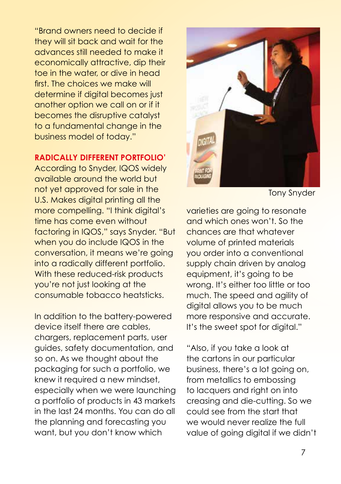"Brand owners need to decide if they will sit back and wait for the advances still needed to make it economically attractive, dip their toe in the water, or dive in head first. The choices we make will determine if digital becomes just another option we call on or if it becomes the disruptive catalyst to a fundamental change in the business model of today."

## **RADICALLY DIFFERENT PORTFOLIO'**

According to Snyder, IQOS widely available around the world but not yet approved for sale in the U.S. Makes digital printing all the more compelling. "I think digital's time has come even without factoring in IQOS," says Snyder. "But when you do include IQOS in the conversation, it means we're going into a radically different portfolio. With these reduced-risk products you're not just looking at the consumable tobacco heatsticks.

In addition to the battery-powered device itself there are cables, chargers, replacement parts, user guides, safety documentation, and so on. As we thought about the packaging for such a portfolio, we knew it required a new mindset, especially when we were launching a portfolio of products in 43 markets in the last 24 months. You can do all the planning and forecasting you want, but you don't know which



Tony Snyder

varieties are going to resonate and which ones won't. So the chances are that whatever volume of printed materials you order into a conventional supply chain driven by analog equipment, it's going to be wrong. It's either too little or too much. The speed and agility of digital allows you to be much more responsive and accurate. It's the sweet spot for digital."

"Also, if you take a look at the cartons in our particular business, there's a lot going on, from metallics to embossing to lacquers and right on into creasing and die-cutting. So we could see from the start that we would never realize the full value of going digital if we didn't